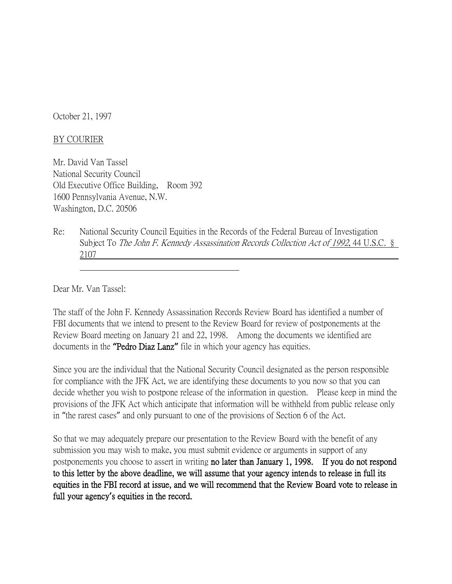October 21, 1997

## BY COURIER

Mr. David Van Tassel National Security Council Old Executive Office Building, Room 392 1600 Pennsylvania Avenue, N.W. Washington, D.C. 20506

Re: National Security Council Equities in the Records of the Federal Bureau of Investigation Subject To The John F. Kennedy Assassination Records Collection Act of 1992, 44 U.S.C. § 2107

Dear Mr. Van Tassel:

The staff of the John F. Kennedy Assassination Records Review Board has identified a number of FBI documents that we intend to present to the Review Board for review of postponements at the Review Board meeting on January 21 and 22, 1998. Among the documents we identified are documents in the **"**Pedro Diaz Lanz**"** file in which your agency has equities.

Since you are the individual that the National Security Council designated as the person responsible for compliance with the JFK Act, we are identifying these documents to you now so that you can decide whether you wish to postpone release of the information in question. Please keep in mind the provisions of the JFK Act which anticipate that information will be withheld from public release only in "the rarest cases" and only pursuant to one of the provisions of Section 6 of the Act.

So that we may adequately prepare our presentation to the Review Board with the benefit of any submission you may wish to make, you must submit evidence or arguments in support of any postponements you choose to assert in writing no later than January 1, 1998. If you do not respond to this letter by the above deadline, we will assume that your agency intends to release in full its equities in the FBI record at issue, and we will recommend that the Review Board vote to release in full your agency**'**s equities in the record.